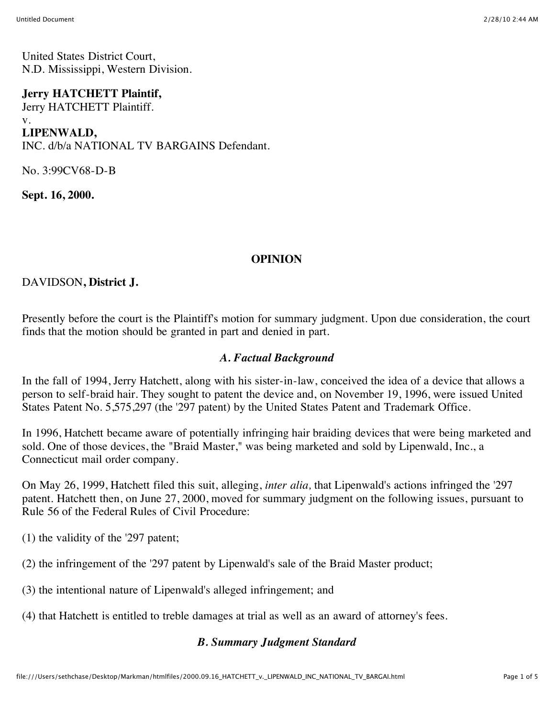United States District Court, N.D. Mississippi, Western Division.

#### **Jerry HATCHETT Plaintif,**

Jerry HATCHETT Plaintiff. v.

**LIPENWALD,**

INC. d/b/a NATIONAL TV BARGAINS Defendant.

No. 3:99CV68-D-B

**Sept. 16, 2000.**

## **OPINION**

DAVIDSON**, District J.**

Presently before the court is the Plaintiff's motion for summary judgment. Upon due consideration, the court finds that the motion should be granted in part and denied in part.

## *A. Factual Background*

In the fall of 1994, Jerry Hatchett, along with his sister-in-law, conceived the idea of a device that allows a person to self-braid hair. They sought to patent the device and, on November 19, 1996, were issued United States Patent No. 5,575,297 (the '297 patent) by the United States Patent and Trademark Office.

In 1996, Hatchett became aware of potentially infringing hair braiding devices that were being marketed and sold. One of those devices, the "Braid Master," was being marketed and sold by Lipenwald, Inc., a Connecticut mail order company.

On May 26, 1999, Hatchett filed this suit, alleging, *inter alia,* that Lipenwald's actions infringed the '297 patent. Hatchett then, on June 27, 2000, moved for summary judgment on the following issues, pursuant to Rule 56 of the Federal Rules of Civil Procedure:

- (1) the validity of the '297 patent;
- (2) the infringement of the '297 patent by Lipenwald's sale of the Braid Master product;
- (3) the intentional nature of Lipenwald's alleged infringement; and
- (4) that Hatchett is entitled to treble damages at trial as well as an award of attorney's fees.

## *B. Summary Judgment Standard*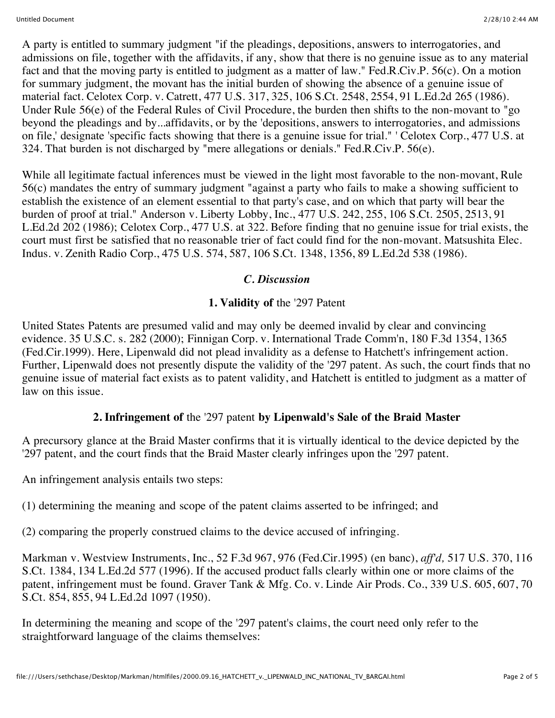A party is entitled to summary judgment "if the pleadings, depositions, answers to interrogatories, and admissions on file, together with the affidavits, if any, show that there is no genuine issue as to any material fact and that the moving party is entitled to judgment as a matter of law." Fed.R.Civ.P. 56(c). On a motion for summary judgment, the movant has the initial burden of showing the absence of a genuine issue of material fact. Celotex Corp. v. Catrett, 477 U.S. 317, 325, 106 S.Ct. 2548, 2554, 91 L.Ed.2d 265 (1986). Under Rule 56(e) of the Federal Rules of Civil Procedure, the burden then shifts to the non-movant to "go beyond the pleadings and by...affidavits, or by the 'depositions, answers to interrogatories, and admissions on file,' designate 'specific facts showing that there is a genuine issue for trial." ' Celotex Corp., 477 U.S. at 324. That burden is not discharged by "mere allegations or denials." Fed.R.Civ.P. 56(e).

While all legitimate factual inferences must be viewed in the light most favorable to the non-movant, Rule 56(c) mandates the entry of summary judgment "against a party who fails to make a showing sufficient to establish the existence of an element essential to that party's case, and on which that party will bear the burden of proof at trial." Anderson v. Liberty Lobby, Inc., 477 U.S. 242, 255, 106 S.Ct. 2505, 2513, 91 L.Ed.2d 202 (1986); Celotex Corp., 477 U.S. at 322. Before finding that no genuine issue for trial exists, the court must first be satisfied that no reasonable trier of fact could find for the non-movant. Matsushita Elec. Indus. v. Zenith Radio Corp., 475 U.S. 574, 587, 106 S.Ct. 1348, 1356, 89 L.Ed.2d 538 (1986).

## *C. Discussion*

## **1. Validity of** the '297 Patent

United States Patents are presumed valid and may only be deemed invalid by clear and convincing evidence. 35 U.S.C. s. 282 (2000); Finnigan Corp. v. International Trade Comm'n, 180 F.3d 1354, 1365 (Fed.Cir.1999). Here, Lipenwald did not plead invalidity as a defense to Hatchett's infringement action. Further, Lipenwald does not presently dispute the validity of the '297 patent. As such, the court finds that no genuine issue of material fact exists as to patent validity, and Hatchett is entitled to judgment as a matter of law on this issue.

# **2. Infringement of** the '297 patent **by Lipenwald's Sale of the Braid Master**

A precursory glance at the Braid Master confirms that it is virtually identical to the device depicted by the '297 patent, and the court finds that the Braid Master clearly infringes upon the '297 patent.

An infringement analysis entails two steps:

(1) determining the meaning and scope of the patent claims asserted to be infringed; and

(2) comparing the properly construed claims to the device accused of infringing.

Markman v. Westview Instruments, Inc., 52 F.3d 967, 976 (Fed.Cir.1995) (en banc), *aff'd,* 517 U.S. 370, 116 S.Ct. 1384, 134 L.Ed.2d 577 (1996). If the accused product falls clearly within one or more claims of the patent, infringement must be found. Graver Tank & Mfg. Co. v. Linde Air Prods. Co., 339 U.S. 605, 607, 70 S.Ct. 854, 855, 94 L.Ed.2d 1097 (1950).

In determining the meaning and scope of the '297 patent's claims, the court need only refer to the straightforward language of the claims themselves: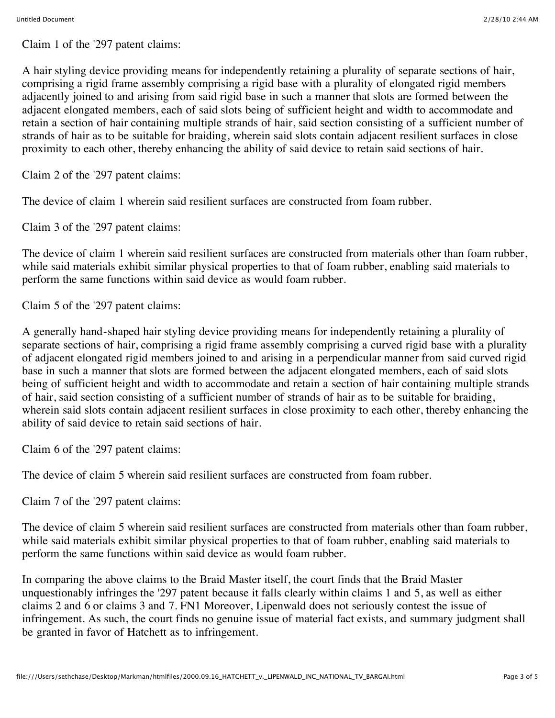Claim 1 of the '297 patent claims:

A hair styling device providing means for independently retaining a plurality of separate sections of hair, comprising a rigid frame assembly comprising a rigid base with a plurality of elongated rigid members adjacently joined to and arising from said rigid base in such a manner that slots are formed between the adjacent elongated members, each of said slots being of sufficient height and width to accommodate and retain a section of hair containing multiple strands of hair, said section consisting of a sufficient number of strands of hair as to be suitable for braiding, wherein said slots contain adjacent resilient surfaces in close proximity to each other, thereby enhancing the ability of said device to retain said sections of hair.

Claim 2 of the '297 patent claims:

The device of claim 1 wherein said resilient surfaces are constructed from foam rubber.

Claim 3 of the '297 patent claims:

The device of claim 1 wherein said resilient surfaces are constructed from materials other than foam rubber, while said materials exhibit similar physical properties to that of foam rubber, enabling said materials to perform the same functions within said device as would foam rubber.

Claim 5 of the '297 patent claims:

A generally hand-shaped hair styling device providing means for independently retaining a plurality of separate sections of hair, comprising a rigid frame assembly comprising a curved rigid base with a plurality of adjacent elongated rigid members joined to and arising in a perpendicular manner from said curved rigid base in such a manner that slots are formed between the adjacent elongated members, each of said slots being of sufficient height and width to accommodate and retain a section of hair containing multiple strands of hair, said section consisting of a sufficient number of strands of hair as to be suitable for braiding, wherein said slots contain adjacent resilient surfaces in close proximity to each other, thereby enhancing the ability of said device to retain said sections of hair.

Claim 6 of the '297 patent claims:

The device of claim 5 wherein said resilient surfaces are constructed from foam rubber.

Claim 7 of the '297 patent claims:

The device of claim 5 wherein said resilient surfaces are constructed from materials other than foam rubber, while said materials exhibit similar physical properties to that of foam rubber, enabling said materials to perform the same functions within said device as would foam rubber.

In comparing the above claims to the Braid Master itself, the court finds that the Braid Master unquestionably infringes the '297 patent because it falls clearly within claims 1 and 5, as well as either claims 2 and 6 or claims 3 and 7. FN1 Moreover, Lipenwald does not seriously contest the issue of infringement. As such, the court finds no genuine issue of material fact exists, and summary judgment shall be granted in favor of Hatchett as to infringement.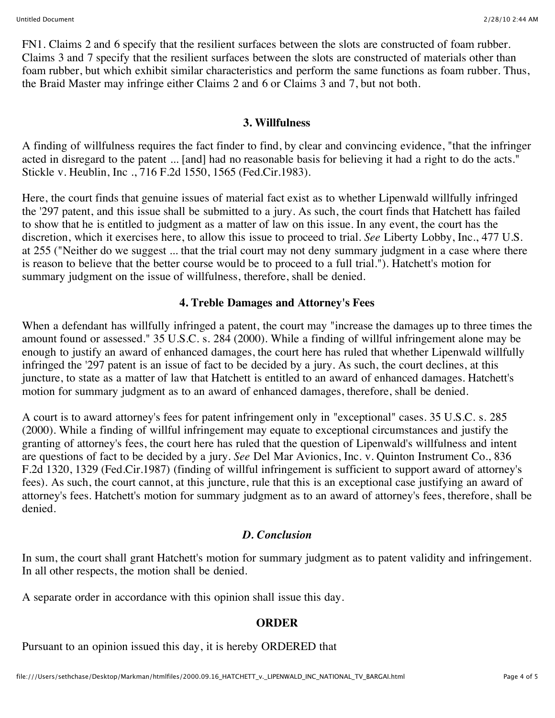FN1. Claims 2 and 6 specify that the resilient surfaces between the slots are constructed of foam rubber. Claims 3 and 7 specify that the resilient surfaces between the slots are constructed of materials other than foam rubber, but which exhibit similar characteristics and perform the same functions as foam rubber. Thus, the Braid Master may infringe either Claims 2 and 6 or Claims 3 and 7, but not both.

#### **3. Willfulness**

A finding of willfulness requires the fact finder to find, by clear and convincing evidence, "that the infringer acted in disregard to the patent ... [and] had no reasonable basis for believing it had a right to do the acts." Stickle v. Heublin, Inc ., 716 F.2d 1550, 1565 (Fed.Cir.1983).

Here, the court finds that genuine issues of material fact exist as to whether Lipenwald willfully infringed the '297 patent, and this issue shall be submitted to a jury. As such, the court finds that Hatchett has failed to show that he is entitled to judgment as a matter of law on this issue. In any event, the court has the discretion, which it exercises here, to allow this issue to proceed to trial. *See* Liberty Lobby, Inc., 477 U.S. at 255 ("Neither do we suggest ... that the trial court may not deny summary judgment in a case where there is reason to believe that the better course would be to proceed to a full trial."). Hatchett's motion for summary judgment on the issue of willfulness, therefore, shall be denied.

## **4. Treble Damages and Attorney's Fees**

When a defendant has willfully infringed a patent, the court may "increase the damages up to three times the amount found or assessed." 35 U.S.C. s. 284 (2000). While a finding of willful infringement alone may be enough to justify an award of enhanced damages, the court here has ruled that whether Lipenwald willfully infringed the '297 patent is an issue of fact to be decided by a jury. As such, the court declines, at this juncture, to state as a matter of law that Hatchett is entitled to an award of enhanced damages. Hatchett's motion for summary judgment as to an award of enhanced damages, therefore, shall be denied.

A court is to award attorney's fees for patent infringement only in "exceptional" cases. 35 U.S.C. s. 285 (2000). While a finding of willful infringement may equate to exceptional circumstances and justify the granting of attorney's fees, the court here has ruled that the question of Lipenwald's willfulness and intent are questions of fact to be decided by a jury. *See* Del Mar Avionics, Inc. v. Quinton Instrument Co., 836 F.2d 1320, 1329 (Fed.Cir.1987) (finding of willful infringement is sufficient to support award of attorney's fees). As such, the court cannot, at this juncture, rule that this is an exceptional case justifying an award of attorney's fees. Hatchett's motion for summary judgment as to an award of attorney's fees, therefore, shall be denied.

# *D. Conclusion*

In sum, the court shall grant Hatchett's motion for summary judgment as to patent validity and infringement. In all other respects, the motion shall be denied.

A separate order in accordance with this opinion shall issue this day.

## **ORDER**

Pursuant to an opinion issued this day, it is hereby ORDERED that